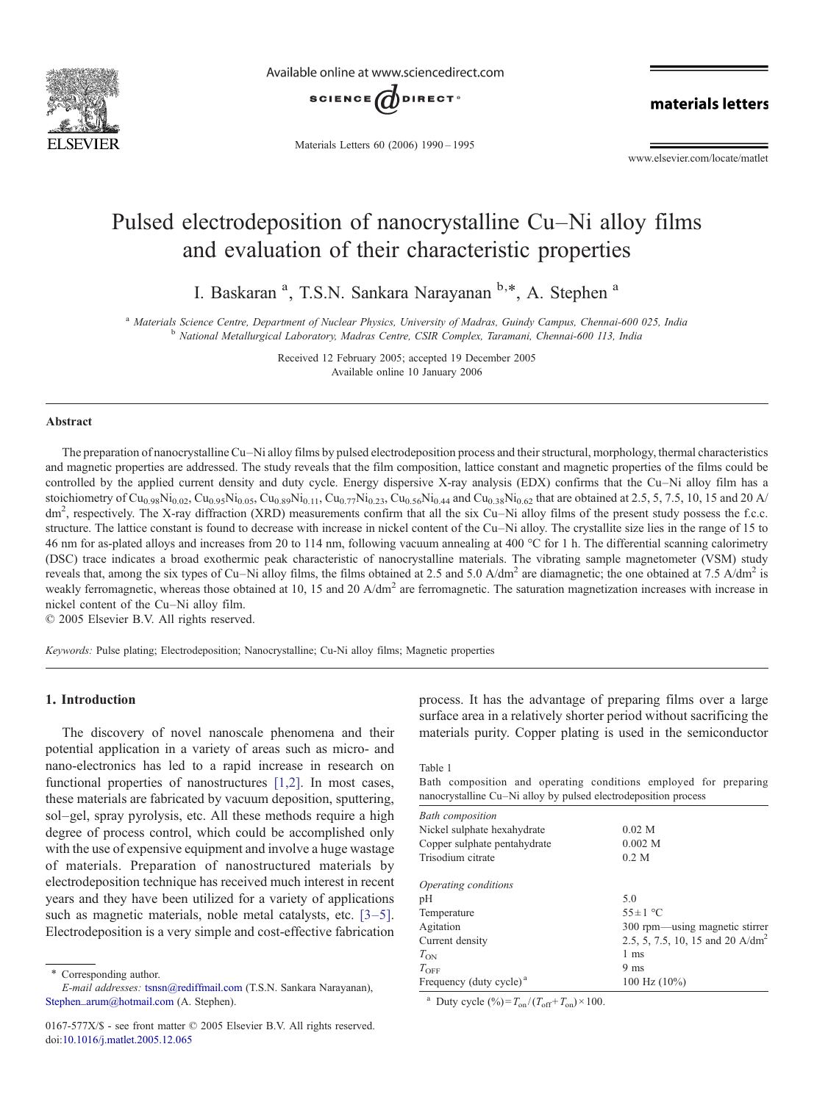<span id="page-0-0"></span>

Available online at www.sciencedirect.com



materials letters

Materials Letters 60 (2006) 1990–1995

www.elsevier.com/locate/matlet

# Pulsed electrodeposition of nanocrystalline Cu–Ni alloy films and evaluation of their characteristic properties

I. Baskaran<sup>a</sup>, T.S.N. Sankara Narayanan <sup>b,\*</sup>, A. Stephen<sup>a</sup>

<sup>a</sup> Materials Science Centre, Department of Nuclear Physics, University of Madras, Guindy Campus, Chennai-600 025, India b National Metallurgical Laboratory, Madras Centre, CSIR Complex, Taramani, Chennai-600 113, India

Received 12 February 2005; accepted 19 December 2005 Available online 10 January 2006

#### Abstract

The preparation of nanocrystalline Cu–Ni alloy films by pulsed electrodeposition process and their structural, morphology, thermal characteristics and magnetic properties are addressed. The study reveals that the film composition, lattice constant and magnetic properties of the films could be controlled by the applied current density and duty cycle. Energy dispersive X-ray analysis (EDX) confirms that the Cu–Ni alloy film has a stoichiometry of Cu<sub>0.98</sub>Ni<sub>0.02</sub>, Cu<sub>0.99</sub>Ni<sub>0.05</sub>, Cu<sub>0.89</sub>Ni<sub>0.11</sub>, Cu<sub>0.77</sub>Ni<sub>0.23</sub>, Cu<sub>0.56</sub>Ni<sub>0.44</sub> and Cu<sub>0.38</sub>Ni<sub>0.62</sub> that are obtained at 2.5, 5, 7.5, 10, 15 and 20 A/  $dm<sup>2</sup>$ , respectively. The X-ray diffraction (XRD) measurements confirm that all the six Cu–Ni alloy films of the present study possess the f.c.c. structure. The lattice constant is found to decrease with increase in nickel content of the Cu–Ni alloy. The crystallite size lies in the range of 15 to 46 nm for as-plated alloys and increases from 20 to 114 nm, following vacuum annealing at 400 °C for 1 h. The differential scanning calorimetry (DSC) trace indicates a broad exothermic peak characteristic of nanocrystalline materials. The vibrating sample magnetometer (VSM) study reveals that, among the six types of Cu–Ni alloy films, the films obtained at 2.5 and 5.0 A/dm<sup>2</sup> are diamagnetic; the one obtained at 7.5 A/dm<sup>2</sup> is weakly ferromagnetic, whereas those obtained at 10, 15 and 20  $A/dm<sup>2</sup>$  are ferromagnetic. The saturation magnetization increases with increase in nickel content of the Cu–Ni alloy film.

© 2005 Elsevier B.V. All rights reserved.

Keywords: Pulse plating; Electrodeposition; Nanocrystalline; Cu-Ni alloy films; Magnetic properties

## 1. Introduction

The discovery of novel nanoscale phenomena and their potential application in a variety of areas such as micro- and nano-electronics has led to a rapid increase in research on functional properties of nanostructures [\[1,2\]](#page-5-0). In most cases, these materials are fabricated by vacuum deposition, sputtering, sol–gel, spray pyrolysis, etc. All these methods require a high degree of process control, which could be accomplished only with the use of expensive equipment and involve a huge wastage of materials. Preparation of nanostructured materials by electrodeposition technique has received much interest in recent years and they have been utilized for a variety of applications such as magnetic materials, noble metal catalysts, etc. [\[3](#page-5-0)–5]. Electrodeposition is a very simple and cost-effective fabrication

⁎ Corresponding author.

process. It has the advantage of preparing films over a large surface area in a relatively shorter period without sacrificing the materials purity. Copper plating is used in the semiconductor

Table 1

Bath composition and operating conditions employed for preparing nanocrystalline Cu–Ni alloy by pulsed electrodeposition process

| <b>Bath</b> composition             |                                              |
|-------------------------------------|----------------------------------------------|
| Nickel sulphate hexahydrate         | $0.02$ M                                     |
| Copper sulphate pentahydrate        | 0.002 M                                      |
| Trisodium citrate                   | 0.2 M                                        |
| Operating conditions                |                                              |
| pН                                  | 5.0                                          |
| Temperature                         | $55 \pm 1$ °C                                |
| Agitation                           | 300 rpm—using magnetic stirrer               |
| Current density                     | 2.5, 5, 7.5, 10, 15 and 20 A/dm <sup>2</sup> |
| $T_{ON}$                            | 1 ms                                         |
| $T_{\rm OFF}$                       | 9 <sub>ms</sub>                              |
| Frequency (duty cycle) <sup>a</sup> | $100$ Hz $(10\%)$                            |
|                                     |                                              |

<sup>a</sup> Duty cycle  $(\%)=T_{on}/(T_{off}+T_{on})\times 100$ .

E-mail addresses: [tsnsn@rediffmail.com](mailto:tsnsn@rediffmail.com) (T.S.N. Sankara Narayanan), [Stephen\\_arum@hotmail.com](mailto:Stephen_arum@hotmail.com) (A. Stephen).

<sup>0167-577</sup>X/\$ - see front matter © 2005 Elsevier B.V. All rights reserved. doi:[10.1016/j.matlet.2005.12.065](http://dx.doi.org/10.1016/j.matlet.2005.12.065)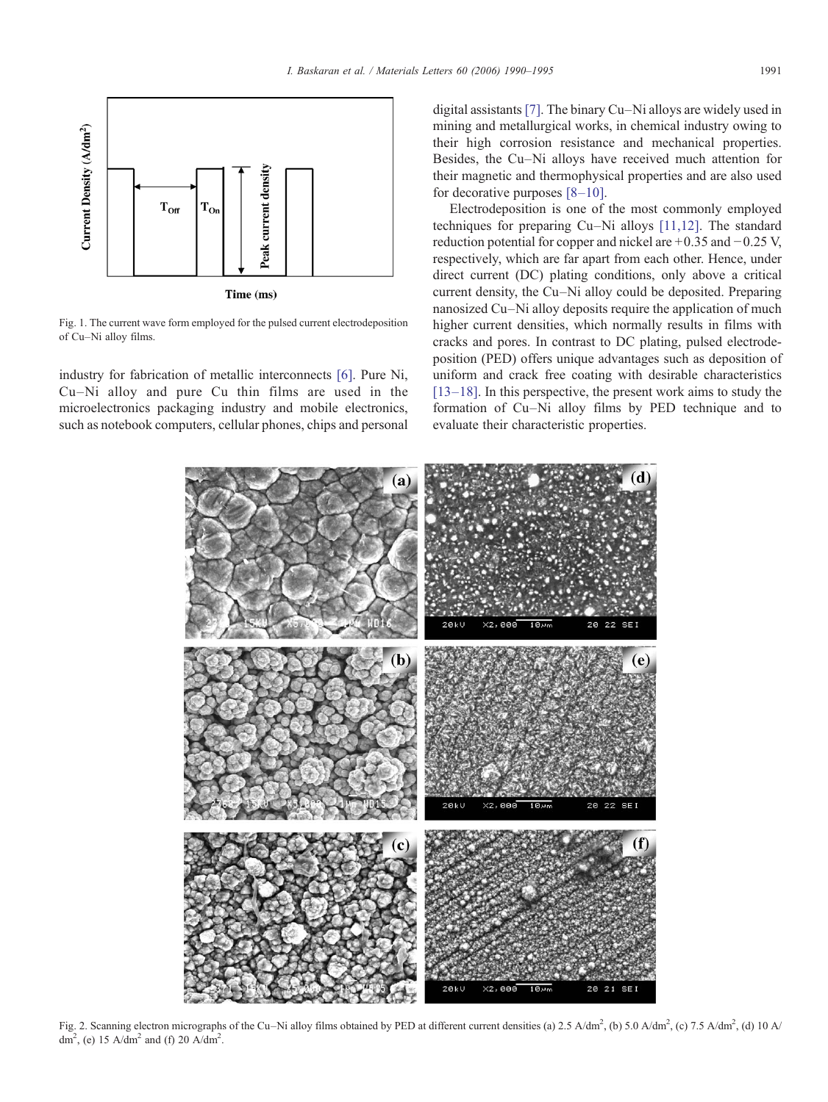<span id="page-1-0"></span>

Fig. 1. The current wave form employed for the pulsed current electrodeposition of Cu–Ni alloy films.

industry for fabrication of metallic interconnects [\[6\].](#page-5-0) Pure Ni, Cu–Ni alloy and pure Cu thin films are used in the microelectronics packaging industry and mobile electronics, such as notebook computers, cellular phones, chips and personal digital assistants [\[7\].](#page-5-0) The binary Cu–Ni alloys are widely used in mining and metallurgical works, in chemical industry owing to their high corrosion resistance and mechanical properties. Besides, the Cu–Ni alloys have received much attention for their magnetic and thermophysical properties and are also used for decorative purposes [8–[10\].](#page-5-0)

Electrodeposition is one of the most commonly employed techniques for preparing Cu–Ni alloys [\[11,12\]](#page-5-0). The standard reduction potential for copper and nickel are +0.35 and −0.25 V, respectively, which are far apart from each other. Hence, under direct current (DC) plating conditions, only above a critical current density, the Cu–Ni alloy could be deposited. Preparing nanosized Cu–Ni alloy deposits require the application of much higher current densities, which normally results in films with cracks and pores. In contrast to DC plating, pulsed electrodeposition (PED) offers unique advantages such as deposition of uniform and crack free coating with desirable characteristics [13–[18\].](#page-5-0) In this perspective, the present work aims to study the formation of Cu–Ni alloy films by PED technique and to evaluate their characteristic properties.



Fig. 2. Scanning electron micrographs of the Cu–Ni alloy films obtained by PED at different current densities (a) 2.5 A/dm<sup>2</sup>, (b) 5.0 A/dm<sup>2</sup>, (c) 7.5 A/dm<sup>2</sup>, (d) 10 A/ dm<sup>2</sup>, (e) 15 A/dm<sup>2</sup> and (f) 20 A/dm<sup>2</sup>.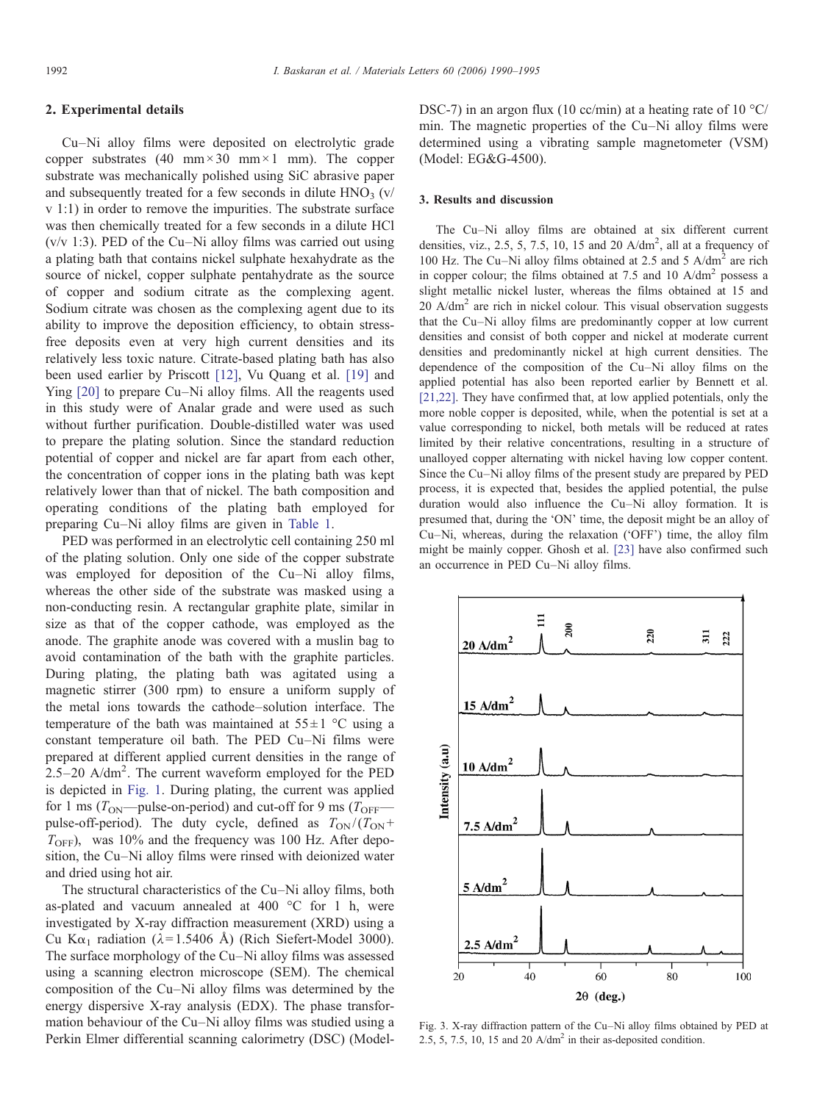# <span id="page-2-0"></span>2. Experimental details

Cu–Ni alloy films were deposited on electrolytic grade copper substrates (40 mm  $\times$  30 mm  $\times$  1 mm). The copper substrate was mechanically polished using SiC abrasive paper and subsequently treated for a few seconds in dilute  $HNO<sub>3</sub>$  (v/ v 1:1) in order to remove the impurities. The substrate surface was then chemically treated for a few seconds in a dilute HCl (v/v 1:3). PED of the Cu–Ni alloy films was carried out using a plating bath that contains nickel sulphate hexahydrate as the source of nickel, copper sulphate pentahydrate as the source of copper and sodium citrate as the complexing agent. Sodium citrate was chosen as the complexing agent due to its ability to improve the deposition efficiency, to obtain stressfree deposits even at very high current densities and its relatively less toxic nature. Citrate-based plating bath has also been used earlier by Priscott [\[12\]](#page-5-0), Vu Quang et al. [\[19\]](#page-5-0) and Ying [\[20\]](#page-5-0) to prepare Cu–Ni alloy films. All the reagents used in this study were of Analar grade and were used as such without further purification. Double-distilled water was used to prepare the plating solution. Since the standard reduction potential of copper and nickel are far apart from each other, the concentration of copper ions in the plating bath was kept relatively lower than that of nickel. The bath composition and operating conditions of the plating bath employed for preparing Cu–Ni alloy films are given in [Table 1](#page-0-0).

PED was performed in an electrolytic cell containing 250 ml of the plating solution. Only one side of the copper substrate was employed for deposition of the Cu–Ni alloy films, whereas the other side of the substrate was masked using a non-conducting resin. A rectangular graphite plate, similar in size as that of the copper cathode, was employed as the anode. The graphite anode was covered with a muslin bag to avoid contamination of the bath with the graphite particles. During plating, the plating bath was agitated using a magnetic stirrer (300 rpm) to ensure a uniform supply of the metal ions towards the cathode–solution interface. The temperature of the bath was maintained at  $55 \pm 1$  °C using a constant temperature oil bath. The PED Cu–Ni films were prepared at different applied current densities in the range of 2.5–20 A/dm<sup>2</sup> . The current waveform employed for the PED is depicted in [Fig. 1](#page-1-0). During plating, the current was applied for 1 ms ( $T_{\text{ON}}$ —pulse-on-period) and cut-off for 9 ms ( $T_{\text{OFF}}$  pulse-off-period). The duty cycle, defined as  $T_{ON}/(T_{ON} +$  $T_{\text{OFF}}$ ), was 10% and the frequency was 100 Hz. After deposition, the Cu–Ni alloy films were rinsed with deionized water and dried using hot air.

The structural characteristics of the Cu–Ni alloy films, both as-plated and vacuum annealed at 400 °C for 1 h, were investigated by X-ray diffraction measurement (XRD) using a Cu K $\alpha_1$  radiation ( $\lambda$ =1.5406 Å) (Rich Siefert-Model 3000). The surface morphology of the Cu–Ni alloy films was assessed using a scanning electron microscope (SEM). The chemical composition of the Cu–Ni alloy films was determined by the energy dispersive X-ray analysis (EDX). The phase transformation behaviour of the Cu–Ni alloy films was studied using a Perkin Elmer differential scanning calorimetry (DSC) (ModelDSC-7) in an argon flux (10 cc/min) at a heating rate of 10  $\degree$ C/ min. The magnetic properties of the Cu–Ni alloy films were determined using a vibrating sample magnetometer (VSM) (Model: EG&G-4500).

# 3. Results and discussion

The Cu–Ni alloy films are obtained at six different current densities, viz., 2.5, 5, 7.5, 10, 15 and 20  $A/dm^2$ , all at a frequency of 100 Hz. The Cu–Ni alloy films obtained at 2.5 and 5 A/dm<sup>2</sup> are rich in copper colour; the films obtained at 7.5 and 10  $A/dm<sup>2</sup>$  possess a slight metallic nickel luster, whereas the films obtained at 15 and  $20$  A/dm<sup>2</sup> are rich in nickel colour. This visual observation suggests that the Cu–Ni alloy films are predominantly copper at low current densities and consist of both copper and nickel at moderate current densities and predominantly nickel at high current densities. The dependence of the composition of the Cu–Ni alloy films on the applied potential has also been reported earlier by Bennett et al. [\[21,22\].](#page-5-0) They have confirmed that, at low applied potentials, only the more noble copper is deposited, while, when the potential is set at a value corresponding to nickel, both metals will be reduced at rates limited by their relative concentrations, resulting in a structure of unalloyed copper alternating with nickel having low copper content. Since the Cu–Ni alloy films of the present study are prepared by PED process, it is expected that, besides the applied potential, the pulse duration would also influence the Cu–Ni alloy formation. It is presumed that, during the 'ON' time, the deposit might be an alloy of Cu–Ni, whereas, during the relaxation ('OFF') time, the alloy film might be mainly copper. Ghosh et al. [\[23\]](#page-5-0) have also confirmed such an occurrence in PED Cu–Ni alloy films.



Fig. 3. X-ray diffraction pattern of the Cu–Ni alloy films obtained by PED at 2.5, 5, 7.5, 10, 15 and 20  $A/dm^2$  in their as-deposited condition.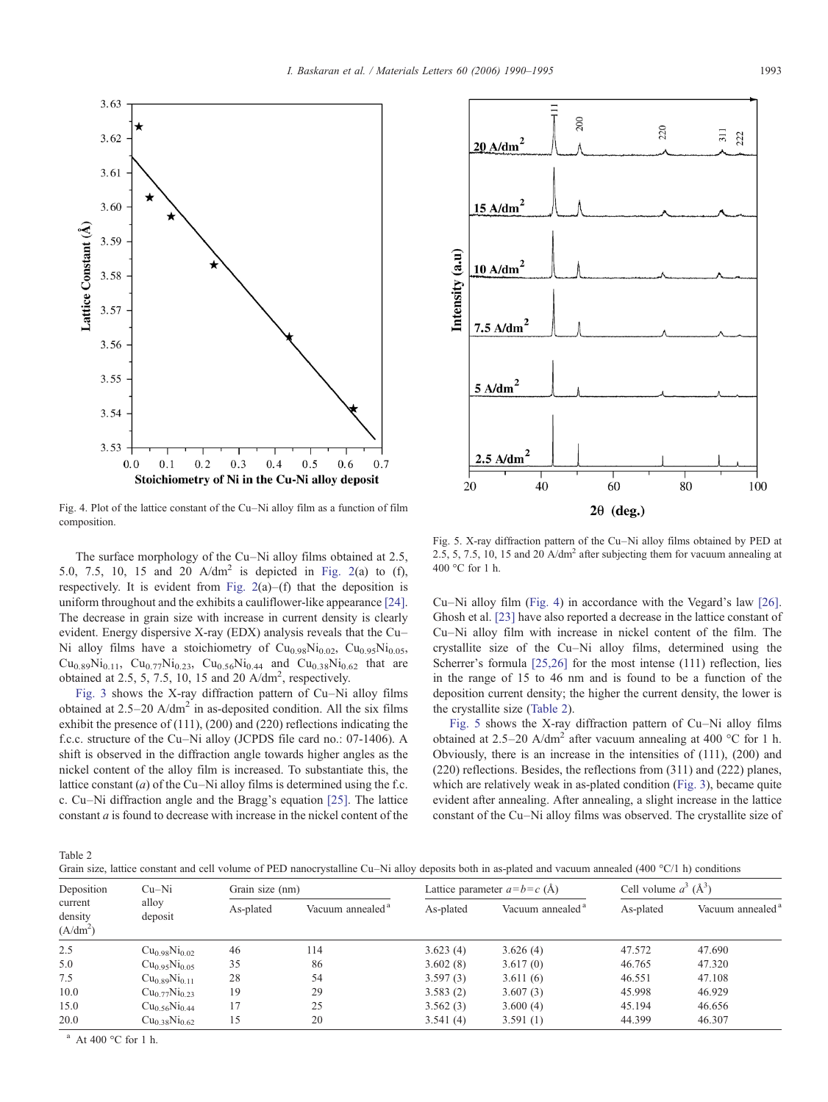<span id="page-3-0"></span>

Fig. 4. Plot of the lattice constant of the Cu–Ni alloy film as a function of film composition.

The surface morphology of the Cu–Ni alloy films obtained at 2.5, 5.0, 7.5, 10, 15 and 20  $A/dm^2$  is depicted in [Fig. 2](#page-1-0)(a) to (f), respectively. It is evident from Fig.  $2(a)$ –(f) that the deposition is uniform throughout and the exhibits a cauliflower-like appearance [\[24\]](#page-5-0). The decrease in grain size with increase in current density is clearly evident. Energy dispersive X-ray (EDX) analysis reveals that the Cu– Ni alloy films have a stoichiometry of  $Cu<sub>0.98</sub>Ni<sub>0.02</sub>$ ,  $Cu<sub>0.95</sub>Ni<sub>0.05</sub>$ ,  $Cu_{0.89}Ni_{0.11}$ ,  $Cu_{0.77}Ni_{0.23}$ ,  $Cu_{0.56}Ni_{0.44}$  and  $Cu_{0.38}Ni_{0.62}$  that are obtained at 2.5, 5, 7.5, 10, 15 and 20  $A/dm^2$ , respectively.

[Fig. 3](#page-2-0) shows the X-ray diffraction pattern of Cu–Ni alloy films obtained at  $2.5-20$  A/dm<sup>2</sup> in as-deposited condition. All the six films exhibit the presence of (111), (200) and (220) reflections indicating the f.c.c. structure of the Cu–Ni alloy (JCPDS file card no.: 07-1406). A shift is observed in the diffraction angle towards higher angles as the nickel content of the alloy film is increased. To substantiate this, the lattice constant (*a*) of the Cu–Ni alloy films is determined using the f.c. c. Cu–Ni diffraction angle and the Bragg's equation [\[25\]](#page-5-0). The lattice constant a is found to decrease with increase in the nickel content of the



Fig. 5. X-ray diffraction pattern of the Cu–Ni alloy films obtained by PED at 2.5, 5, 7.5, 10, 15 and 20  $A/dm<sup>2</sup>$  after subjecting them for vacuum annealing at 400 °C for 1 h.

Cu–Ni alloy film (Fig. 4) in accordance with the Vegard's law [\[26\]](#page-5-0). Ghosh et al. [\[23\]](#page-5-0) have also reported a decrease in the lattice constant of Cu–Ni alloy film with increase in nickel content of the film. The crystallite size of the Cu–Ni alloy films, determined using the Scherrer's formula [\[25,26\]](#page-5-0) for the most intense (111) reflection, lies in the range of 15 to 46 nm and is found to be a function of the deposition current density; the higher the current density, the lower is the crystallite size (Table 2).

Fig. 5 shows the X-ray diffraction pattern of Cu–Ni alloy films obtained at 2.5–20 A/dm<sup>2</sup> after vacuum annealing at 400 °C for 1 h. Obviously, there is an increase in the intensities of (111), (200) and (220) reflections. Besides, the reflections from (311) and (222) planes, which are relatively weak in as-plated condition [\(Fig. 3](#page-2-0)), became quite evident after annealing. After annealing, a slight increase in the lattice constant of the Cu–Ni alloy films was observed. The crystallite size of

Table 2

| Grain size, lattice constant and cell volume of PED nanocrystalline Cu-Ni alloy deposits both in as-plated and vacuum annealed (400 °C/1 h) conditions |  |
|--------------------------------------------------------------------------------------------------------------------------------------------------------|--|
|--------------------------------------------------------------------------------------------------------------------------------------------------------|--|

| Deposition<br>current<br>density<br>$(A/dm^2)$ | $Cu-Ni$<br>alloy<br>deposit           | Grain size (nm) |                              | Lattice parameter $a = b = c(A)$ |                              | Cell volume $a^3$ ( $\AA^3$ ) |                              |
|------------------------------------------------|---------------------------------------|-----------------|------------------------------|----------------------------------|------------------------------|-------------------------------|------------------------------|
|                                                |                                       | As-plated       | Vacuum annealed <sup>a</sup> | As-plated                        | Vacuum annealed <sup>a</sup> | As-plated                     | Vacuum annealed <sup>a</sup> |
| 2.5                                            | Cu <sub>0.98</sub> Ni <sub>0.02</sub> | 46              | 114                          | 3.623(4)                         | 3.626(4)                     | 47.572                        | 47.690                       |
| 5.0                                            | Cu <sub>0.95</sub> Ni <sub>0.05</sub> | 35              | 86                           | 3.602(8)                         | 3.617(0)                     | 46.765                        | 47.320                       |
| 7.5                                            | $Cu_{0.89}Ni_{0.11}$                  | 28              | 54                           | 3.597(3)                         | 3.611(6)                     | 46.551                        | 47.108                       |
| 10.0                                           | Cu <sub>0.77</sub> Ni <sub>0.23</sub> | 19              | 29                           | 3.583(2)                         | 3.607(3)                     | 45.998                        | 46.929                       |
| 15.0                                           | $Cu_{0.56}Ni_{0.44}$                  | 17              | 25                           | 3.562(3)                         | 3.600(4)                     | 45.194                        | 46.656                       |
| 20.0                                           | $Cu_{0.38}Ni_{0.62}$                  | 15              | 20                           | 3.541(4)                         | 3.591(1)                     | 44.399                        | 46.307                       |

 $^{\text{a}}$  At 400 °C for 1 h.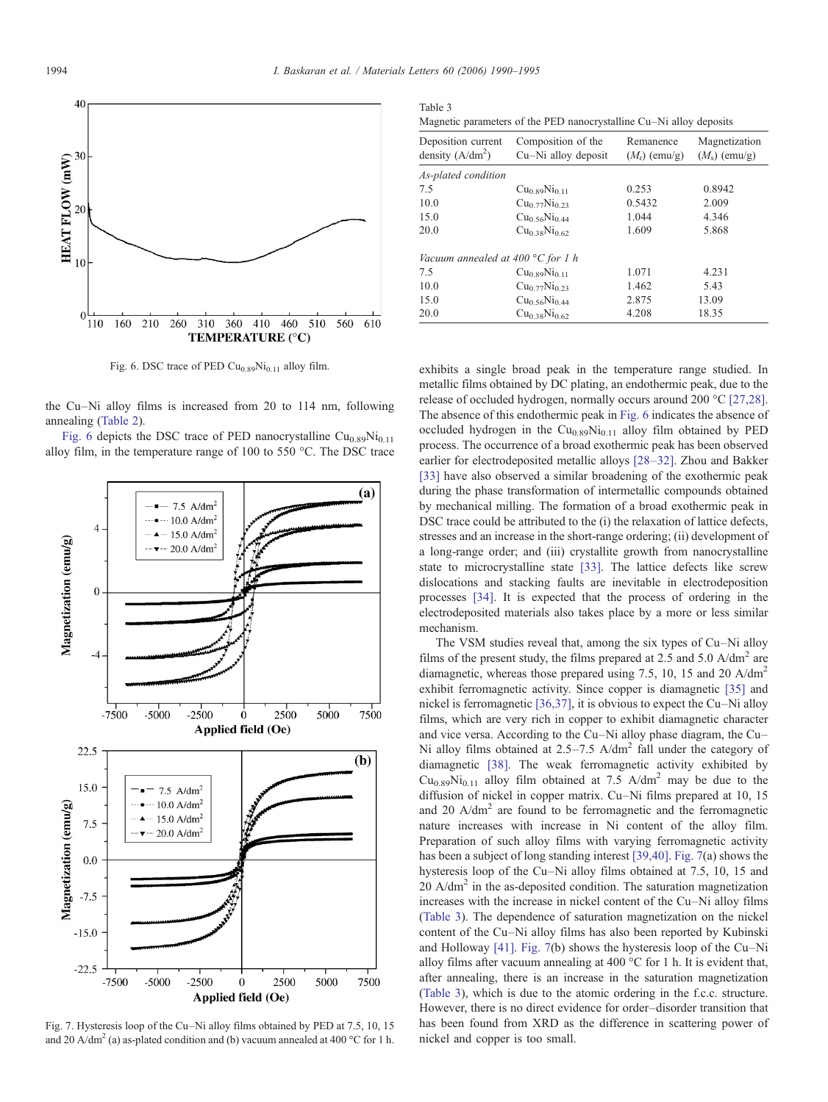

Fig. 6. DSC trace of PED  $Cu<sub>0.89</sub>Ni<sub>0.11</sub>$  alloy film.

the Cu–Ni alloy films is increased from 20 to 114 nm, following annealing ([Table 2\)](#page-3-0).

Fig. 6 depicts the DSC trace of PED nanocrystalline  $Cu<sub>0.89</sub>Ni<sub>0.11</sub>$ alloy film, in the temperature range of 100 to 550 °C. The DSC trace



Fig. 7. Hysteresis loop of the Cu–Ni alloy films obtained by PED at 7.5, 10, 15 and 20 A/dm<sup>2</sup> (a) as-plated condition and (b) vacuum annealed at 400 °C for 1 h.

| Table 3<br>Magnetic parameters of the PED nanocrystalline Cu–Ni alloy deposits |                                           |                              |                                 |  |  |  |  |
|--------------------------------------------------------------------------------|-------------------------------------------|------------------------------|---------------------------------|--|--|--|--|
| Deposition current<br>density $(A/dm^2)$                                       | Composition of the<br>Cu-Ni alloy deposit | Remanence<br>$(M_r)$ (emu/g) | Magnetization<br>$(Ms)$ (emu/g) |  |  |  |  |
| As-plated condition                                                            |                                           |                              |                                 |  |  |  |  |
| 7.5                                                                            | Cu <sub>0.89</sub> Ni <sub>0.11</sub>     | 0.253                        | 0.8942                          |  |  |  |  |
| 10.0                                                                           | $Cu0$ 77 $Ni0$ 23                         | 0.5432                       | 2.009                           |  |  |  |  |
| 15.0                                                                           | Cu <sub>0.56</sub> Ni <sub>0.44</sub>     | 1.044                        | 4.346                           |  |  |  |  |
| 20.0                                                                           | Cu <sub>0.38</sub> Ni <sub>0.62</sub>     | 1.609                        | 5.868                           |  |  |  |  |
| Vacuum annealed at 400 $^{\circ}$ C for 1 h                                    |                                           |                              |                                 |  |  |  |  |
| 7.5                                                                            | $Cu0$ soNi <sub>0 11</sub>                | 1.071                        | 4.231                           |  |  |  |  |
| 10.0                                                                           | $Cu_{0.77}Ni_{0.23}$                      | 1.462                        | 5.43                            |  |  |  |  |
| 15.0                                                                           | Cu <sub>0.56</sub> Ni <sub>0.44</sub>     | 2.875                        | 13.09                           |  |  |  |  |
| 20.0                                                                           | $Cu0$ 38Ni <sub>0.62</sub>                | 4.208                        | 18.35                           |  |  |  |  |

exhibits a single broad peak in the temperature range studied. In metallic films obtained by DC plating, an endothermic peak, due to the release of occluded hydrogen, normally occurs around 200 °C [\[27,28\]](#page-5-0). The absence of this endothermic peak in Fig. 6 indicates the absence of occluded hydrogen in the  $Cu<sub>0.89</sub>Ni<sub>0.11</sub>$  alloy film obtained by PED process. The occurrence of a broad exothermic peak has been observed earlier for electrodeposited metallic alloys [28–[32\].](#page-5-0) Zhou and Bakker [\[33\]](#page-5-0) have also observed a similar broadening of the exothermic peak during the phase transformation of intermetallic compounds obtained by mechanical milling. The formation of a broad exothermic peak in DSC trace could be attributed to the (i) the relaxation of lattice defects, stresses and an increase in the short-range ordering; (ii) development of a long-range order; and (iii) crystallite growth from nanocrystalline state to microcrystalline state [\[33\]](#page-5-0). The lattice defects like screw dislocations and stacking faults are inevitable in electrodeposition processes [\[34\]](#page-5-0). It is expected that the process of ordering in the electrodeposited materials also takes place by a more or less similar mechanism.

The VSM studies reveal that, among the six types of Cu–Ni alloy films of the present study, the films prepared at 2.5 and 5.0  $A/dm<sup>2</sup>$  are diamagnetic, whereas those prepared using 7.5, 10, 15 and 20 A/dm<sup>2</sup> exhibit ferromagnetic activity. Since copper is diamagnetic [\[35\]](#page-5-0) and nickel is ferromagnetic [\[36,37\]](#page-5-0), it is obvious to expect the Cu–Ni alloy films, which are very rich in copper to exhibit diamagnetic character and vice versa. According to the Cu–Ni alloy phase diagram, the Cu– Ni alloy films obtained at  $2.5-7.5$  A/dm<sup>2</sup> fall under the category of diamagnetic [\[38\]](#page-5-0). The weak ferromagnetic activity exhibited by  $Cu<sub>0.89</sub>Ni<sub>0.11</sub>$  alloy film obtained at 7.5 A/dm<sup>2</sup> may be due to the diffusion of nickel in copper matrix. Cu–Ni films prepared at 10, 15 and 20  $A/dm<sup>2</sup>$  are found to be ferromagnetic and the ferromagnetic nature increases with increase in Ni content of the alloy film. Preparation of such alloy films with varying ferromagnetic activity has been a subject of long standing interest [\[39,40\].](#page-5-0) Fig. 7(a) shows the hysteresis loop of the Cu–Ni alloy films obtained at 7.5, 10, 15 and  $20$  A/dm<sup>2</sup> in the as-deposited condition. The saturation magnetization increases with the increase in nickel content of the Cu–Ni alloy films (Table 3). The dependence of saturation magnetization on the nickel content of the Cu–Ni alloy films has also been reported by Kubinski and Holloway [\[41\].](#page-5-0) Fig. 7(b) shows the hysteresis loop of the Cu–Ni alloy films after vacuum annealing at 400 °C for 1 h. It is evident that, after annealing, there is an increase in the saturation magnetization (Table 3), which is due to the atomic ordering in the f.c.c. structure. However, there is no direct evidence for order–disorder transition that has been found from XRD as the difference in scattering power of nickel and copper is too small.